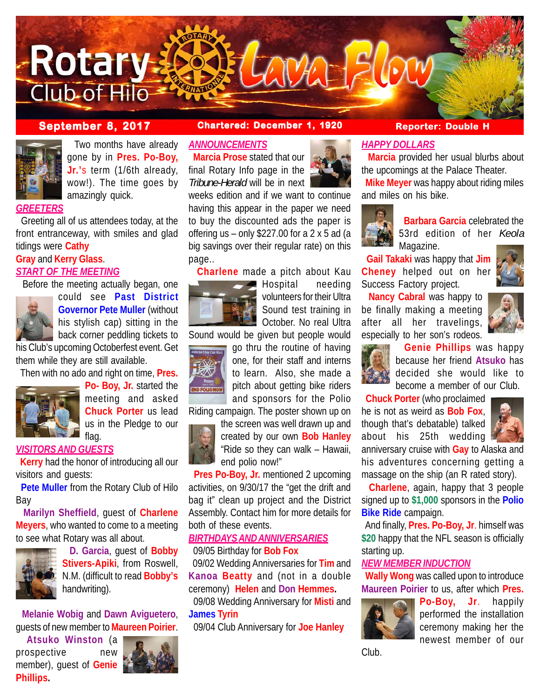



 Two months have already gone by in **Pres. Po-Boy, Jr.'**s term (1/6th already, wow!). The time goes by amazingly quick.

#### *GREETERS*

 Greeting all of us attendees today, at the front entranceway, with smiles and glad tidings were **Cathy**

#### **Gray** and **Kerry Glass**. *START OF THE MEETING*

Before the meeting actually began, one



could see **Past District Governor Pete Muller** (without his stylish cap) sitting in the back corner peddling tickets to

his Club's upcoming Octoberfest event. Get them while they are still available.

Then with no ado and right on time, **Pres.**



**Po- Boy, Jr.** started the meeting and asked **Chuck Porter** us lead us in the Pledge to our flag.

### *VISITORS AND GUESTS*

 **Kerry** had the honor of introducing all our visitors and guests:

 **Pete Muller** from the Rotary Club of Hilo Bay

 **Marilyn Sheffield**, guest of **Charlene Meyers**, who wanted to come to a meeting to see what Rotary was all about.



 **D. Garcia**, guest of **Bobby Stivers-Apiki**, from Roswell, N.M. (difficult to read **Bobby's** handwriting).

 **Melanie Wobig** and **Dawn Aviguetero**, guests of new member to **Maureen Poirier**.

 **Atsuko Winston** (a prospective new member), guest of **Genie Phillips.**



#### **September 8, 2017 Chartered: December 1, 1920 Reporter: Double H**

#### *ANNOUNCEMENTS*

 **Marcia Prose** stated that our final Rotary Info page in the *Tribune-Herald* will be in next

weeks edition and if we want to continue having this appear in the paper we need to buy the discounted ads the paper is offering us – only  $$227.00$  for a 2 x 5 ad (a big savings over their regular rate) on this page..

 **Charlene** made a pitch about Kau



Hospital needing volunteers for their Ultra Sound test training in October. No real Ultra

Sound would be given but people would



go thru the routine of having one, for their staff and interns to learn. Also, she made a pitch about getting bike riders and sponsors for the Polio

Riding campaign. The poster shown up on



the screen was well drawn up and created by our own **Bob Hanley** "Ride so they can walk – Hawaii, end polio now!"

 **Pres Po-Boy, Jr.** mentioned 2 upcoming activities, on 9/30/17 the "get the drift and bag it" clean up project and the District Assembly. Contact him for more details for both of these events.

#### *BIRTHDAYS AND ANNIVERSARIES* 09/05 Birthday for **Bob Fox**

 09/02 Wedding Anniversaries for **Tim** and **Kanoa Beatty** and (not in a double ceremony) **Helen** and **Don Hemmes.** 09/08 Wedding Anniversary for **Misti** and **James Tyrin**

09/04 Club Anniversary for **Joe Hanley**



## *HAPPY DOLLARS*

 **Marcia** provided her usual blurbs about the upcomings at the Palace Theater.

 **Mike Meyer** was happy about riding miles and miles on his bike.



 **Barbara Garcia** celebrated the 53rd edition of her *Keola* Magazine.

 **Gail Takaki** was happy that **Jim Cheney** helped out on her Success Factory project.

 **Nancy Cabral** was happy to be finally making a meeting after all her travelings, especially to her son's rodeos.



 **Genie Phillips** was happy because her friend **Atsuko** has decided she would like to become a member of our Club.

 **Chuck Porter** (who proclaimed

he is not as weird as **Bob Fox**, though that's debatable) talked about his 25th wedding



anniversary cruise with **Gay** to Alaska and his adventures concerning getting a massage on the ship (an R rated story).

 **Charlene**, again, happy that 3 people signed up to **\$1,000** sponsors in the **Polio Bike Ride** campaign.

 And finally, **Pres. Po-Boy, Jr**. himself was **\$20** happy that the NFL season is officially starting up.

#### *NEW MEMBER INDUCTION*

 **Wally Wong** was called upon to introduce **Maureen Poirier** to us, after which **Pres.**



**Po-Boy, Jr**. happily performed the installation ceremony making her the newest member of our

Club.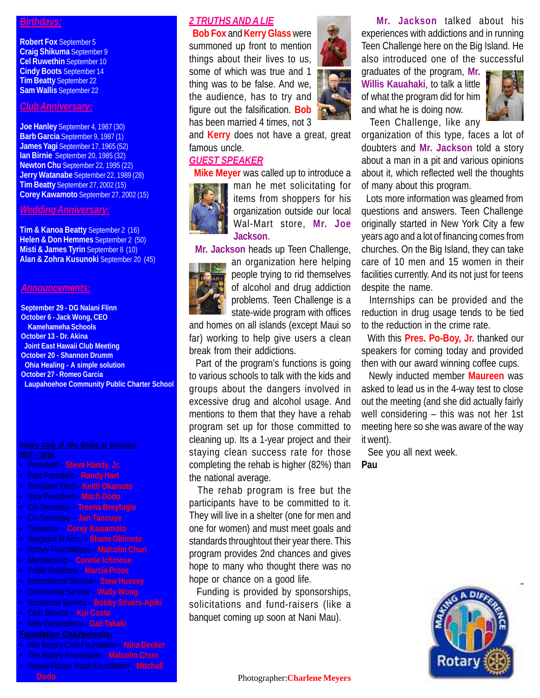#### *Birthdays:*

**Robert Fox** September 5 **Craig Shikuma** September 9 **Cel Ruwethin** September 10 **Cindy Boots** September 14 **Tim Beatty** September 22 **Sam Wallis** September 22

#### *Club Anniversary:*

**Joe Hanley** September 4, 1987 (30) **Barb Garcia** September 9, 1987 (1) **James Yagi** September 17, 1965 (52) **Ian Birnie** September 20, 1985 (32) **Newton Chu** September 22, 1995 (22) **Jerry Watanabe** September 22, 1989 (28) **Tim Beatty** September 27, 2002 (15) **Corey Kawamoto** September 27, 2002 (15)

#### *Wedding Anniversary:*

**Tim & Kanoa Beatty** September 2 (16) **Helen & Don Hemmes** September 2 (50) **Misti & James Tyrin** September 8 (10) **Alan & Zohra Kusunoki** September 20 (45)

#### *Announcements:*

**September 29 - DG Nalani Flinn October 6 - Jack Wong, CEO Kamehameha Schools October 13 - Dr. Akina Joint East Hawaii Club Meeting October 20 - Shannon Drumm Ohia Healing - A simple solution October 27 - Romeo Garcia Laupahoehoe Community Public Charter School**

- President **Steve Handy, Jr.**
- Past President **Randy Hart**
- President Elect **Keith Okamoto**
- Vice President **Mitch Dodo**
- Co-Secretary **Treena Breyfogle**
- Co-Secretary **Jan Tanouye**
- Treasurer **Corey Kawamoto**
- Sergeant at Arms **Shane Okimoto**
- Rotary Foundations **Malcolm Chun**
- Membership **Connie Ichinose**
- Public Relations **Marcia Prose**
- International Service **Stew Hussey**
- Community Service **Wally Wong**
- Vocational Service **Bobby Stivers-Apiki**
- Club Service **Kui Costa**
- New Generations **Gail Takaki**

- Hilo Rotary Club Foundation **Nina Decker**
- The Rotary Foundation **Malcolm Chun**
- Hawaii Rotary Youth Foundation **Mitchell Dodo** Photographer:**Charlene Meyers**

## *2 TRUTHS AND A LIE*

 **Bob Fox** and **Kerry Glass** were summoned up front to mention things about their lives to us, some of which was true and 1 thing was to be false. And we, the audience, has to try and figure out the falsification. **Bob** has been married 4 times, not 3



and **Kerry** does not have a great, great famous uncle.

#### *GUEST SPEAKER*

 **Mike Meyer** was called up to introduce a



man he met solicitating for items from shoppers for his organization outside our local Wal-Mart store, **Mr. Joe Jackson**.

**Mr. Jackson** heads up Teen Challenge,

an organization here helping people trying to rid themselves of alcohol and drug addiction problems. Teen Challenge is a state-wide program with offices

and homes on all islands (except Maui so far) working to help give users a clean break from their addictions.

 Part of the program's functions is going to various schools to talk with the kids and groups about the dangers involved in excessive drug and alcohol usage. And mentions to them that they have a rehab program set up for those committed to cleaning up. Its a 1-year project and their staying clean success rate for those completing the rehab is higher (82%) than the national average.

 The rehab program is free but the participants have to be committed to it. They will live in a shelter (one for men and one for women) and must meet goals and standards throughtout their year there. This program provides 2nd chances and gives hope to many who thought there was no hope or chance on a good life.

 Funding is provided by sponsorships, solicitations and fund-raisers (like a banquet coming up soon at Nani Mau).

 **Mr. Jackson** talked about his experiences with addictions and in running Teen Challenge here on the Big Island. He also introduced one of the successful

graduates of the program, **Mr. Willis Kauahaki**, to talk a little of what the program did for him and what he is doing now.

Teen Challenge, like any

organization of this type, faces a lot of doubters and **Mr. Jackson** told a story about a man in a pit and various opinions about it, which reflected well the thoughts of many about this program.

 Lots more information was gleamed from questions and answers. Teen Challenge originally started in New York City a few years ago and a lot of financing comes from churches. On the Big Island, they can take care of 10 men and 15 women in their facilities currently. And its not just for teens despite the name.

 Internships can be provided and the reduction in drug usage tends to be tied to the reduction in the crime rate.

 With this **Pres. Po-Boy, Jr.** thanked our speakers for coming today and provided then with our award winning coffee cups.

 Newly inducted member **Maureen** was asked to lead us in the 4-way test to close out the meeting (and she did actually fairly well considering – this was not her 1st meeting here so she was aware of the way it went).

See you all next week.

**Pau**